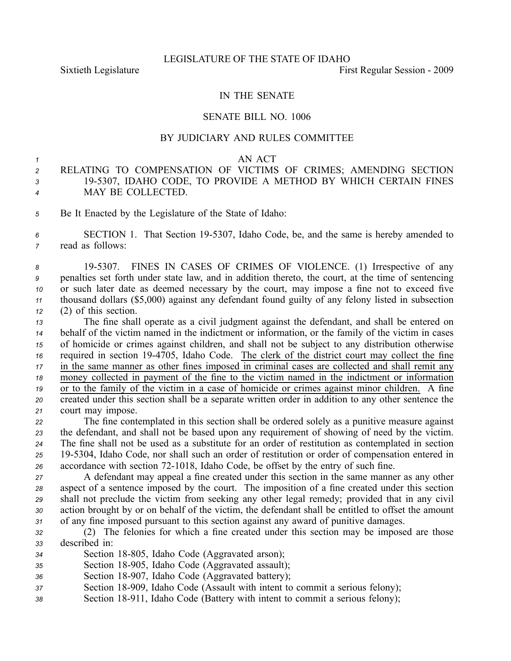## IN THE SENATE

### SENATE BILL NO. 1006

### BY JUDICIARY AND RULES COMMITTEE

#### *1* AN ACT

# *<sup>2</sup>* RELATING TO COMPENSATION OF VICTIMS OF CRIMES; AMENDING SECTION *<sup>3</sup>* 195307, IDAHO CODE, TO PROVIDE A METHOD BY WHICH CERTAIN FINES *<sup>4</sup>* MAY BE COLLECTED.

*<sup>5</sup>* Be It Enacted by the Legislature of the State of Idaho:

*<sup>6</sup>* SECTION 1. That Section 195307, Idaho Code, be, and the same is hereby amended to *<sup>7</sup>* read as follows:

 195307. FINES IN CASES OF CRIMES OF VIOLENCE. (1) Irrespective of any penalties set forth under state law, and in addition thereto, the court, at the time of sentencing or such later date as deemed necessary by the court, may impose <sup>a</sup> fine not to exceed five thousand dollars (\$5,000) against any defendant found guilty of any felony listed in subsection (2) of this section.

 The fine shall operate as <sup>a</sup> civil judgment against the defendant, and shall be entered on behalf of the victim named in the indictment or information, or the family of the victim in cases of homicide or crimes against children, and shall not be subject to any distribution otherwise required in section 194705, Idaho Code. The clerk of the district court may collect the fine in the same manner as other fines imposed in criminal cases are collected and shall remit any money collected in paymen<sup>t</sup> of the fine to the victim named in the indictment or information or to the family of the victim in <sup>a</sup> case of homicide or crimes against minor children. A fine created under this section shall be <sup>a</sup> separate written order in addition to any other sentence the court may impose.

 The fine contemplated in this section shall be ordered solely as <sup>a</sup> punitive measure against the defendant, and shall not be based upon any requirement of showing of need by the victim. The fine shall not be used as <sup>a</sup> substitute for an order of restitution as contemplated in section 195304, Idaho Code, nor shall such an order of restitution or order of compensation entered in accordance with section 721018, Idaho Code, be offset by the entry of such fine.

 A defendant may appeal <sup>a</sup> fine created under this section in the same manner as any other aspec<sup>t</sup> of <sup>a</sup> sentence imposed by the court. The imposition of <sup>a</sup> fine created under this section shall not preclude the victim from seeking any other legal remedy; provided that in any civil action brought by or on behalf of the victim, the defendant shall be entitled to offset the amount of any fine imposed pursuan<sup>t</sup> to this section against any award of punitive damages.

- *<sup>32</sup>* (2) The felonies for which <sup>a</sup> fine created under this section may be imposed are those *<sup>33</sup>* described in:
- 34 Section 18-805, Idaho Code (Aggravated arson);
- *<sup>35</sup>* Section 18905, Idaho Code (Aggravated assault);
- 36 Section 18-907, Idaho Code (Aggravated battery);
- *<sup>37</sup>* Section 18909, Idaho Code (Assault with intent to commit <sup>a</sup> serious felony);
- *<sup>38</sup>* Section 18911, Idaho Code (Battery with intent to commit <sup>a</sup> serious felony);